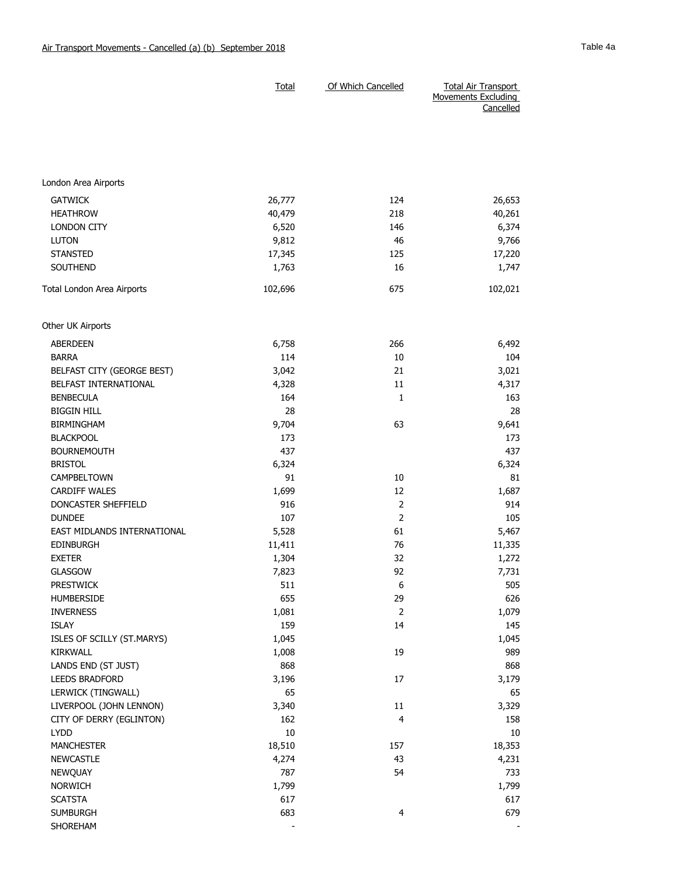|                                               |                 | <b>Movements Excluding</b><br>Cancelled |              |
|-----------------------------------------------|-----------------|-----------------------------------------|--------------|
|                                               |                 |                                         |              |
|                                               |                 |                                         |              |
|                                               |                 |                                         |              |
|                                               |                 |                                         |              |
|                                               |                 |                                         |              |
| London Area Airports                          |                 |                                         |              |
| <b>GATWICK</b>                                | 26,777          | 124                                     | 26,653       |
| <b>HEATHROW</b>                               | 40,479          | 218                                     | 40,261       |
| <b>LONDON CITY</b>                            | 6,520           | 146                                     | 6,374        |
| <b>LUTON</b>                                  | 9,812           | 46                                      | 9,766        |
| <b>STANSTED</b>                               | 17,345          | 125                                     | 17,220       |
| SOUTHEND                                      | 1,763           | 16                                      | 1,747        |
| Total London Area Airports                    | 102,696         | 675                                     | 102,021      |
| Other UK Airports                             |                 |                                         |              |
| <b>ABERDEEN</b>                               | 6,758           | 266                                     | 6,492        |
| <b>BARRA</b>                                  | 114             | 10                                      | 104          |
| BELFAST CITY (GEORGE BEST)                    | 3,042           | 21                                      | 3,021        |
| BELFAST INTERNATIONAL                         | 4,328           | 11                                      | 4,317        |
| <b>BENBECULA</b>                              | 164             | 1                                       | 163          |
| <b>BIGGIN HILL</b>                            | 28              |                                         | 28           |
| <b>BIRMINGHAM</b>                             | 9,704           | 63                                      | 9,641        |
| <b>BLACKPOOL</b>                              | 173             |                                         | 173          |
| <b>BOURNEMOUTH</b>                            | 437             |                                         | 437          |
| <b>BRISTOL</b>                                | 6,324           |                                         | 6,324        |
| CAMPBELTOWN                                   | 91              | 10                                      | 81           |
| <b>CARDIFF WALES</b>                          | 1,699           | 12                                      | 1,687        |
| DONCASTER SHEFFIELD                           | 916             | $\overline{2}$                          | 914          |
| <b>DUNDEE</b>                                 | 107             | $\overline{2}$                          | 105          |
| EAST MIDLANDS INTERNATIONAL                   | 5,528           | 61                                      | 5,467        |
| <b>EDINBURGH</b>                              |                 | 76                                      | 11,335       |
| <b>EXETER</b>                                 | 11,411<br>1,304 | 32                                      | 1,272        |
| <b>GLASGOW</b>                                |                 | 92                                      |              |
| <b>PRESTWICK</b>                              | 7,823<br>511    | 6                                       | 7,731<br>505 |
| HUMBERSIDE                                    | 655             | 29                                      | 626          |
| <b>INVERNESS</b>                              |                 | $\overline{2}$                          |              |
| <b>ISLAY</b>                                  | 1,081<br>159    | 14                                      | 1,079        |
|                                               |                 |                                         | 145          |
| ISLES OF SCILLY (ST.MARYS)<br>KIRKWALL        | 1,045           |                                         | 1,045        |
|                                               | 1,008<br>868    | 19                                      | 989          |
| LANDS END (ST JUST)<br>LEEDS BRADFORD         |                 | 17                                      | 868          |
|                                               | 3,196<br>65     |                                         | 3,179        |
| LERWICK (TINGWALL)<br>LIVERPOOL (JOHN LENNON) |                 |                                         | 65           |
|                                               | 3,340           | 11                                      | 3,329        |
| CITY OF DERRY (EGLINTON)                      | 162<br>10       | $\overline{4}$                          | 158          |
| <b>LYDD</b>                                   | 18,510          |                                         | 10<br>18,353 |
| <b>MANCHESTER</b>                             |                 | 157                                     |              |
| <b>NEWCASTLE</b>                              | 4,274<br>787    | 43                                      | 4,231        |
| NEWQUAY                                       |                 | 54                                      | 733          |
| <b>NORWICH</b>                                | 1,799<br>617    |                                         | 1,799        |
| <b>SCATSTA</b>                                | 683             | $\overline{4}$                          | 617          |
| <b>SUMBURGH</b><br>SHOREHAM                   |                 |                                         | 679          |
|                                               |                 |                                         |              |

Total Of Which Cancelled Total Air Transport